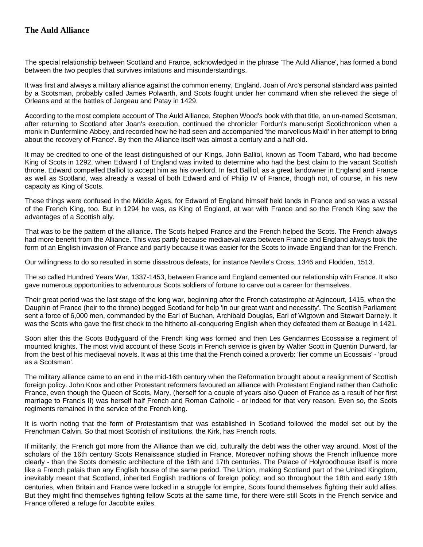## **The Auld Alliance**

The special relationship between Scotland and France, acknowledged in the phrase 'The Auld Alliance', has formed a bond between the two peoples that survives irritations and misunderstandings.

It was first and always a military alliance against the common enemy, England. Joan of Arc's personal standard was painted by a Scotsman, probably called James Polwarth, and Scots fought under her command when she relieved the siege of Orleans and at the battles of Jargeau and Patay in 1429.

According to the most complete account of The Auld Alliance, Stephen Wood's book with that title, an un-named Scotsman, after returning to Scotland after Joan's execution, continued the chronicler Fordun's manuscript Scotichronicon when a monk in Dunfermline Abbey, and recorded how he had seen and accompanied 'the marvellous Maid' in her attempt to bring about the recovery of France'. By then the Alliance itself was almost a century and a half old.

It may be credited to one of the least distinguished of our Kings, John Balliol, known as Toom Tabard, who had become King of Scots in 1292, when Edward I of England was invited to determine who had the best claim to the vacant Scottish throne. Edward compelled Balliol to accept him as his overlord. In fact Balliol, as a great landowner in England and France as well as Scotland, was already a vassal of both Edward and of Philip IV of France, though not, of course, in his new capacity as King of Scots.

These things were confused in the Middle Ages, for Edward of England himself held lands in France and so was a vassal of the French King, too. But in 1294 he was, as King of England, at war with France and so the French King saw the advantages of a Scottish ally.

That was to be the pattern of the alliance. The Scots helped France and the French helped the Scots. The French always had more benefit from the Alliance. This was partly because mediaeval wars between France and England always took the form of an English invasion of France and partly because it was easier for the Scots to invade England than for the French.

Our willingness to do so resulted in some disastrous defeats, for instance Nevile's Cross, 1346 and Flodden, 1513.

The so called Hundred Years War, 1337-1453, between France and England cemented our relationship with France. It also gave numerous opportunities to adventurous Scots soldiers of fortune to carve out a career for themselves.

Their great period was the last stage of the long war, beginning after the French catastrophe at Agincourt, 1415, when the Dauphin of France (heir to the throne) begged Scotland for help 'in our great want and necessity'. The Scottish Parliament sent a force of 6,000 men, commanded by the Earl of Buchan, Archibald Douglas, Earl of Wigtown and Stewart Darnely. It was the Scots who gave the first check to the hitherto all-conquering English when they defeated them at Beauge in 1421.

Soon after this the Scots Bodyguard of the French king was formed and then Les Gendarmes Ecossaise a regiment of mounted knights. The most vivid account of these Scots in French service is given by Walter Scott in Quentin Durward, far from the best of his mediaeval novels. It was at this time that the French coined a proverb: 'fier comme un Ecossais' - 'proud as a Scotsman'.

The military alliance came to an end in the mid-16th century when the Reformation brought about a realignment of Scottish foreign policy. John Knox and other Protestant reformers favoured an alliance with Protestant England rather than Catholic France, even though the Queen of Scots, Mary, (herself for a couple of years also Queen of France as a result of her first marriage to Francis II) was herself half French and Roman Catholic - or indeed for that very reason. Even so, the Scots regiments remained in the service of the French king.

It is worth noting that the form of Protestantism that was established in Scotland followed the model set out by the Frenchman Calvin. So that most Scottish of institutions, the Kirk, has French roots.

If militarily, the French got more from the Alliance than we did, culturally the debt was the other way around. Most of the scholars of the 16th century Scots Renaissance studied in France. Moreover nothing shows the French influence more clearly - than the Scots domestic architecture of the 16th and 17th centuries. The Palace of Holyroodhouse itself is more like a French palais than any English house of the same period. The Union, making Scotland part of the United Kingdom, inevitably meant that Scotland, inherited English traditions of foreign policy; and so throughout the 18th and early 19th centuries, when Britain and France were locked in a struggle for empire, Scots found themselves fighting their auld allies. But they might find themselves fighting fellow Scots at the same time, for there were still Scots in the French service and France offered a refuge for Jacobite exiles.